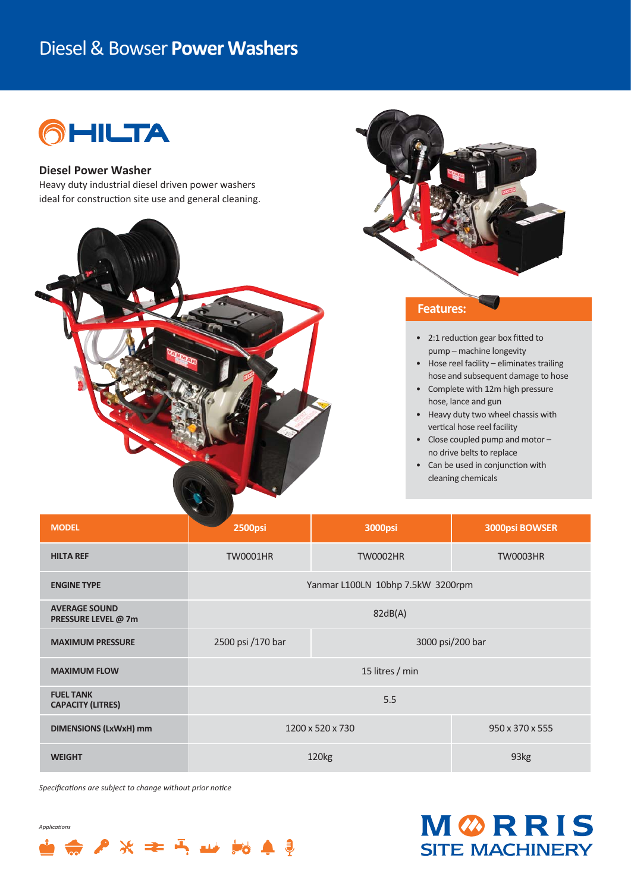## Diesel & Bowser **Power Washers**



#### **Diesel Power Washer**

Heavy duty industrial diesel driven power washers ideal for construction site use and general cleaning.



### **Features:**

- 2:1 reduction gear box fitted to pump – machine longevity
- Hose reel facility eliminates trailing hose and subsequent damage to hose
- Complete with 12m high pressure hose, lance and gun
- Heavy duty two wheel chassis with vertical hose reel facility
- Close coupled pump and motor no drive belts to replace
- Can be used in conjunction with cleaning chemicals

| <b>MODEL</b>                                 | <b>2500psi</b>                        | <b>3000psi</b>  | <b>3000psi BOWSER</b> |
|----------------------------------------------|---------------------------------------|-----------------|-----------------------|
| <b>HILTA REF</b>                             | <b>TW0001HR</b>                       | <b>TW0002HR</b> | <b>TW0003HR</b>       |
| <b>ENGINE TYPE</b>                           | Yanmar L100LN 10bhp 7.5kW 3200rpm     |                 |                       |
| <b>AVERAGE SOUND</b><br>PRESSURE LEVEL @ 7m  | 82dB(A)                               |                 |                       |
| <b>MAXIMUM PRESSURE</b>                      | 3000 psi/200 bar<br>2500 psi /170 bar |                 |                       |
| <b>MAXIMUM FLOW</b>                          | 15 litres / min                       |                 |                       |
| <b>FUEL TANK</b><br><b>CAPACITY (LITRES)</b> | 5.5                                   |                 |                       |
| <b>DIMENSIONS (LxWxH) mm</b>                 | 1200 x 520 x 730                      |                 | 950 x 370 x 555       |
| <b>WEIGHT</b>                                | 120 <sub>kg</sub>                     |                 | 93kg                  |

*Specifica-ons are subject to change without prior no-ce*